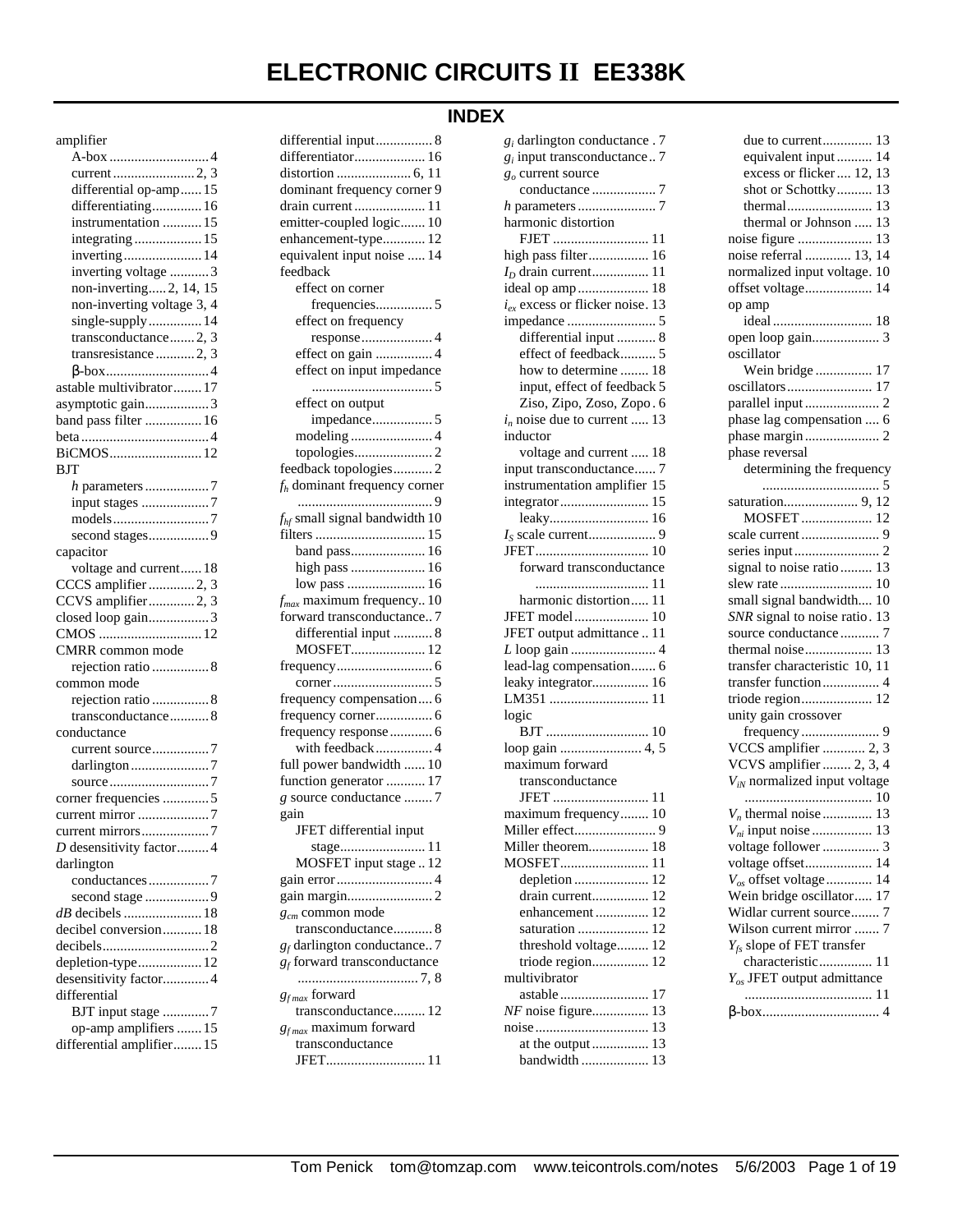# **ELECTRONIC CIRCUITS II EE338K**

# **INDEX**

## amplifier

| differential op-amp 15     |  |
|----------------------------|--|
| differentiating 16         |  |
| instrumentation  15        |  |
| integrating  15            |  |
| inverting 14               |  |
| inverting voltage 3        |  |
| non-inverting 2, 14, 15    |  |
| non-inverting voltage 3, 4 |  |
| single-supply 14           |  |
| transconductance 2, 3      |  |
| transresistance  2, 3      |  |
|                            |  |
| astable multivibrator 17   |  |
| asymptotic gain3           |  |
| band pass filter  16       |  |
|                            |  |
| BiCMOS 12                  |  |
| <b>BJT</b>                 |  |
|                            |  |
| input stages 7             |  |
|                            |  |
| second stages9             |  |
| capacitor                  |  |
| voltage and current 18     |  |
| CCCS amplifier 2, 3        |  |
| CCVS amplifier2, 3         |  |
| closed loop gain3          |  |
|                            |  |
| CMRR common mode           |  |
| rejection ratio  8         |  |
| common mode                |  |
| rejection ratio  8         |  |
| transconductance8          |  |
|                            |  |
| conductance                |  |
|                            |  |
|                            |  |
|                            |  |
| corner frequencies 5       |  |
|                            |  |
|                            |  |
| D desensitivity factor4    |  |
| darlington                 |  |
| conductances7              |  |
| second stage 9             |  |
|                            |  |
| decibel conversion 18      |  |
|                            |  |
|                            |  |
| depletion-type 12          |  |
| desensitivity factor 4     |  |
| differential               |  |
| BJT input stage 7          |  |
| op-amp amplifiers  15      |  |
| differential amplifier 15  |  |

| differentiator 16               |
|---------------------------------|
|                                 |
| dominant frequency corner 9     |
| drain current  11               |
| emitter-coupled logic 10        |
| enhancement-type 12             |
| equivalent input noise  14      |
| feedback                        |
| effect on corner                |
| frequencies5                    |
| effect on frequency             |
| response4                       |
| effect on gain 4                |
| effect on input impedance       |
|                                 |
|                                 |
| effect on output                |
| impedance5                      |
|                                 |
|                                 |
| feedback topologies2            |
| $f_h$ dominant frequency corner |
|                                 |
| $fhf$ small signal bandwidth 10 |
|                                 |
| band pass 16                    |
| high pass  16                   |
| low pass  16                    |
| $f_{max}$ maximum frequency 10  |
| forward transconductance7       |
| differential input  8           |
| MOSFET 12                       |
|                                 |
|                                 |
| frequency compensation 6        |
| frequency corner 6              |
| frequency response  6           |
| with feedback 4                 |
| full power bandwidth  10        |
| function generator  17          |
| g source conductance 7          |
|                                 |
| gain<br>JFET differential input |
|                                 |
|                                 |
| MOSFET input stage  12          |
|                                 |
|                                 |
| $g_{cm}$ common mode            |
| transconductance 8              |
| $g_f$ darlington conductance 7  |
| $g_f$ forward transconductance  |
|                                 |
| $g_{fmax}$ forward              |
| transconductance 12             |
| $g_{fmax}$ maximum forward      |
| transconductance                |
| JFET 11                         |

differential input................ 8

| $g_i$ input transconductance 7       |  |
|--------------------------------------|--|
| $go$ current source                  |  |
|                                      |  |
|                                      |  |
| harmonic distortion                  |  |
| FJET  11                             |  |
| high pass filter 16                  |  |
|                                      |  |
| ideal op amp 18                      |  |
| $i_{ex}$ excess or flicker noise. 13 |  |
|                                      |  |
| differential input  8                |  |
| effect of feedback 5                 |  |
| how to determine  18                 |  |
| input, effect of feedback 5          |  |
| Ziso, Zipo, Zoso, Zopo. 6            |  |
| $i_n$ noise due to current  13       |  |
| inductor                             |  |
| voltage and current  18              |  |
| input transconductance 7             |  |
| instrumentation amplifier 15         |  |
|                                      |  |
|                                      |  |
|                                      |  |
|                                      |  |
| forward transconductance             |  |
| 11                                   |  |
| harmonic distortion 11               |  |
| JFET model 10                        |  |
| JFET output admittance  11           |  |
|                                      |  |
| lead-lag compensation 6              |  |
| leaky integrator 16                  |  |
|                                      |  |
| logic                                |  |
|                                      |  |
|                                      |  |
| maximum forward                      |  |
| transconductance                     |  |
|                                      |  |
| maximum frequency 10                 |  |
|                                      |  |
|                                      |  |
| MOSFET<br>11                         |  |
| depletion<br>12                      |  |
| drain current 12                     |  |
| 12<br>enhancement                    |  |
| 12<br>saturation                     |  |
| threshold voltage 12                 |  |
| 12<br>triode region                  |  |
| multivibrator                        |  |
| astable<br>17                        |  |
| $NF$ noise figure<br>13              |  |
| 13                                   |  |
| 13<br>at the output                  |  |
| bandwidth  13                        |  |
|                                      |  |

*gi* darlington conductance . 7

| due to current                        | 13 |
|---------------------------------------|----|
| equivalent input                      | 14 |
| excess or flicker  12,                | 13 |
| shot or Schottky                      | 13 |
| thermal                               | 13 |
| thermal or Johnson                    | 13 |
| noise figure                          | 13 |
| noise referral  13,                   | 14 |
| normalized input voltage.             | 10 |
| offset voltage                        | 14 |
| op amp                                |    |
|                                       |    |
|                                       |    |
| oscillator                            |    |
| Wein bridge  17                       |    |
|                                       |    |
|                                       |    |
| phase lag compensation  6             |    |
|                                       |    |
|                                       |    |
| phase reversal                        |    |
| determining the frequency             |    |
|                                       |    |
|                                       |    |
| MOSFET  12                            |    |
|                                       |    |
|                                       |    |
| signal to noise ratio 13              |    |
|                                       |    |
| small signal bandwidth 10             |    |
| SNR signal to noise ratio. 13         |    |
| source conductance7                   |    |
| thermal noise 13                      |    |
| transfer characteristic 10, 11        |    |
| transfer function 4                   |    |
| triode region 12                      |    |
| unity gain crossover                  |    |
|                                       |    |
| VCCS amplifier  2, 3                  |    |
| VCVS amplifier  2, 3, 4               |    |
| $V_{iN}$ normalized input voltage     |    |
|                                       |    |
|                                       |    |
|                                       |    |
| voltage follower 3                    |    |
| voltage offset 14                     |    |
| $V_{os}$ offset voltage 14            |    |
| Wein bridge oscillator 17             |    |
| Widlar current source 7               |    |
| Wilson current mirror  7              |    |
| $Y_{fs}$ slope of FET transfer        |    |
| characteristic 11                     |    |
|                                       |    |
| $Y_{\alpha s}$ JFET output admittance |    |
| 11                                    |    |
|                                       |    |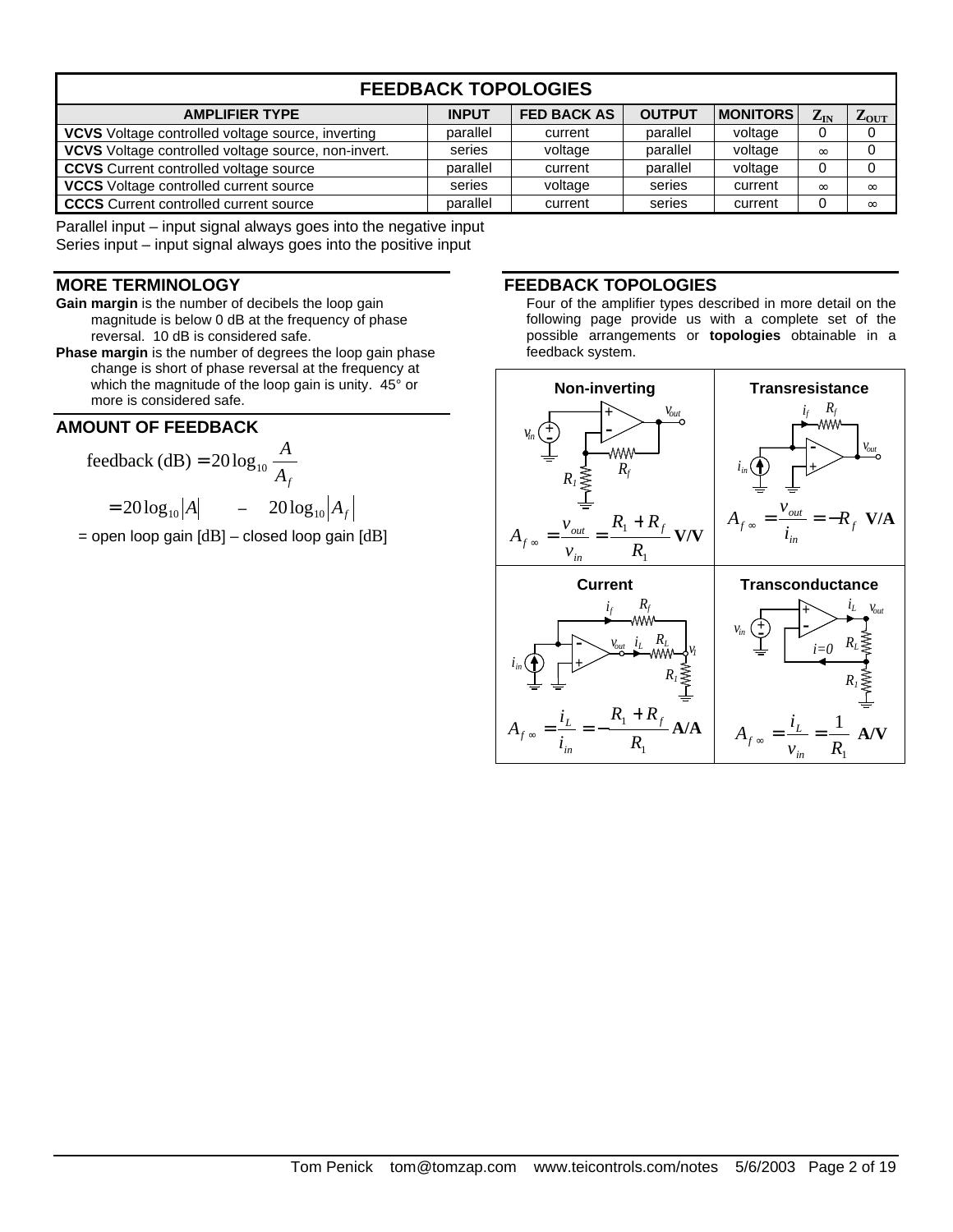| <b>FEEDBACK TOPOLOGIES</b>                               |              |                    |               |                  |          |                  |
|----------------------------------------------------------|--------------|--------------------|---------------|------------------|----------|------------------|
| <b>AMPLIFIER TYPE</b>                                    | <b>INPUT</b> | <b>FED BACK AS</b> | <b>OUTPUT</b> | <b>IMONITORS</b> | $Z_{IN}$ | $L_{\text{OUT}}$ |
| <b>VCVS</b> Voltage controlled voltage source, inverting | parallel     | current            | parallel      | voltage          | 0        |                  |
| VCVS Voltage controlled voltage source, non-invert.      | series       | voltage            | parallel      | voltage          | $\infty$ |                  |
| <b>CCVS</b> Current controlled voltage source            | parallel     | current            | parallel      | voltage          | 0        |                  |
| <b>VCCS</b> Voltage controlled current source            | series       | voltage            | series        | current          | $\infty$ | $\infty$         |
| <b>CCCS</b> Current controlled current source            | parallel     | current            | series        | current          | 0        | $\infty$         |

Parallel input – input signal always goes into the negative input Series input – input signal always goes into the positive input

## **MORE TERMINOLOGY**

- **Gain margin** is the number of decibels the loop gain magnitude is below 0 dB at the frequency of phase reversal. 10 dB is considered safe.
- **Phase margin** is the number of degrees the loop gain phase change is short of phase reversal at the frequency at which the magnitude of the loop gain is unity. 45° or more is considered safe.

## **AMOUNT OF FEEDBACK**

feedback (dB) = 
$$
20 \log_{10} \frac{A}{A_f}
$$
  
=  $20 \log_{10} |A|$  -  $20 \log_{10} |A_f|$ 

 $=$  open loop gain  $[dB]$  – closed loop gain  $[dB]$ 

## **FEEDBACK TOPOLOGIES**

Four of the amplifier types described in more detail on the following page provide us with a complete set of the possible arrangements or **topologies** obtainable in a feedback system.

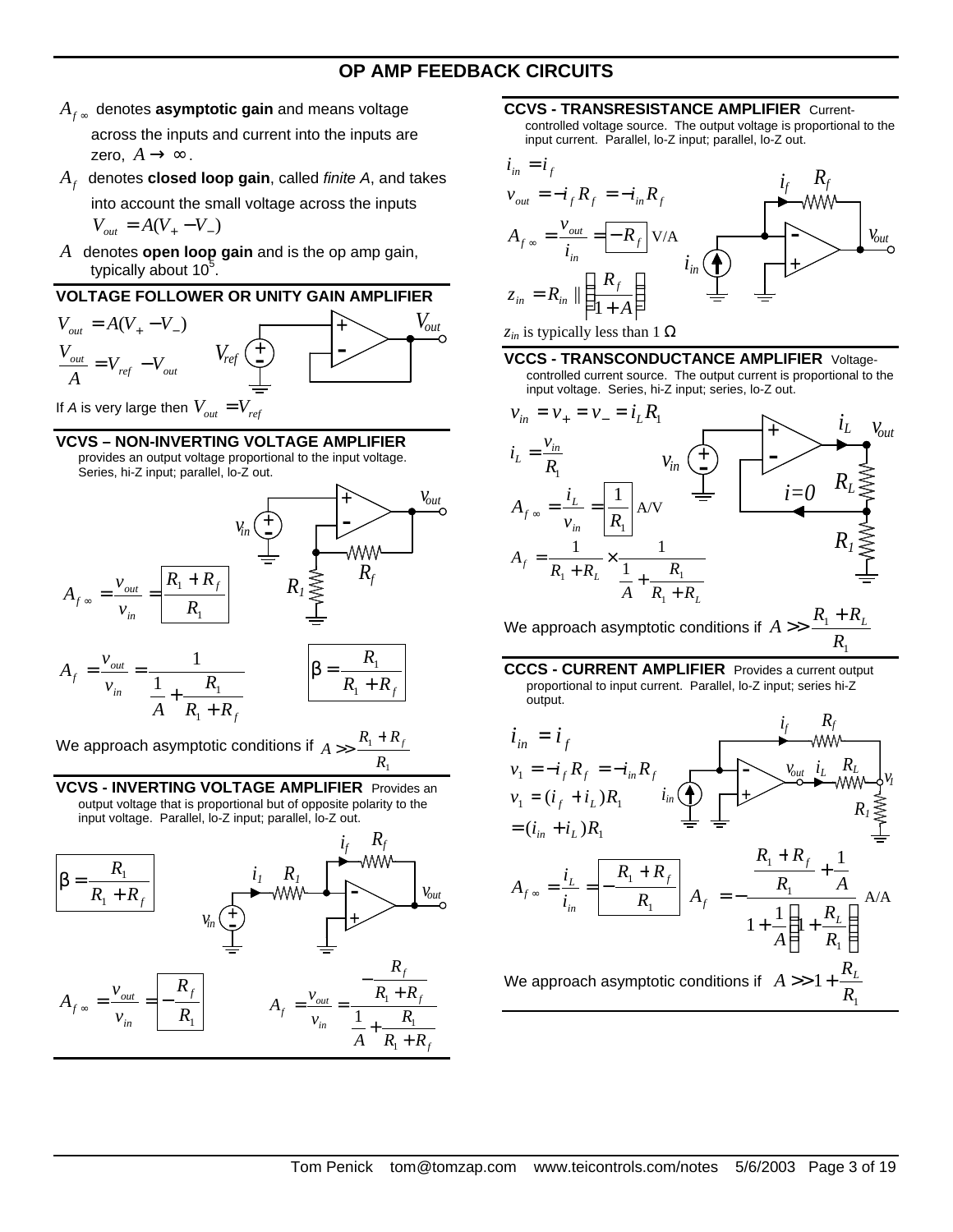# **OP AMP FEEDBACK CIRCUITS**

 $A_{f^{\infty}}$  denotes **asymptotic gain** and means voltage across the inputs and current into the inputs are

zero,  $A \rightarrow \infty$ .

- *Af* denotes **closed loop gain**, called *finite A*, and takes into account the small voltage across the inputs  $V_{out} = A(V_{+} - V_{-})$
- *A* denotes **open loop gain** and is the op amp gain, typically about  $10^5$ .



If *A* is very large then  $V_{out} = V_{ref}$ 

## **VCVS – NON-INVERTING VOLTAGE AMPLIFIER**

provides an output voltage proportional to the input voltage. Series, hi-Z input; parallel, lo-Z out.



We approach asymptotic conditions if 1 1 *R*  $R_1 + R$  $A \gg \frac{R_1 + R_f}{R}$ 

**VCVS - INVERTING VOLTAGE AMPLIFIER** Provides an output voltage that is proportional but of opposite polarity to the input voltage. Parallel, lo-Z input; parallel, lo-Z out.



#### **CCVS - TRANSRESISTANCE AMPLIFIER** Current-

controlled voltage source. The output voltage is proportional to the input current. Parallel, lo-Z input; parallel, lo-Z out.



#### *zin* is typically less than 1 Ω

#### **VCCS - TRANSCONDUCTANCE AMPLIFIER** Voltage-

controlled current source. The output current is proportional to the input voltage. Series, hi-Z input; series, lo-Z out.



We approach asymptotic conditions if  $A >> \frac{R_1}{A}$ 1 *R*  $A \gg \frac{R_1 + R_L}{R}$ 

**CCCS - CURRENT AMPLIFIER** Provides a current output proportional to input current. Parallel, lo-Z input; series hi-Z output.

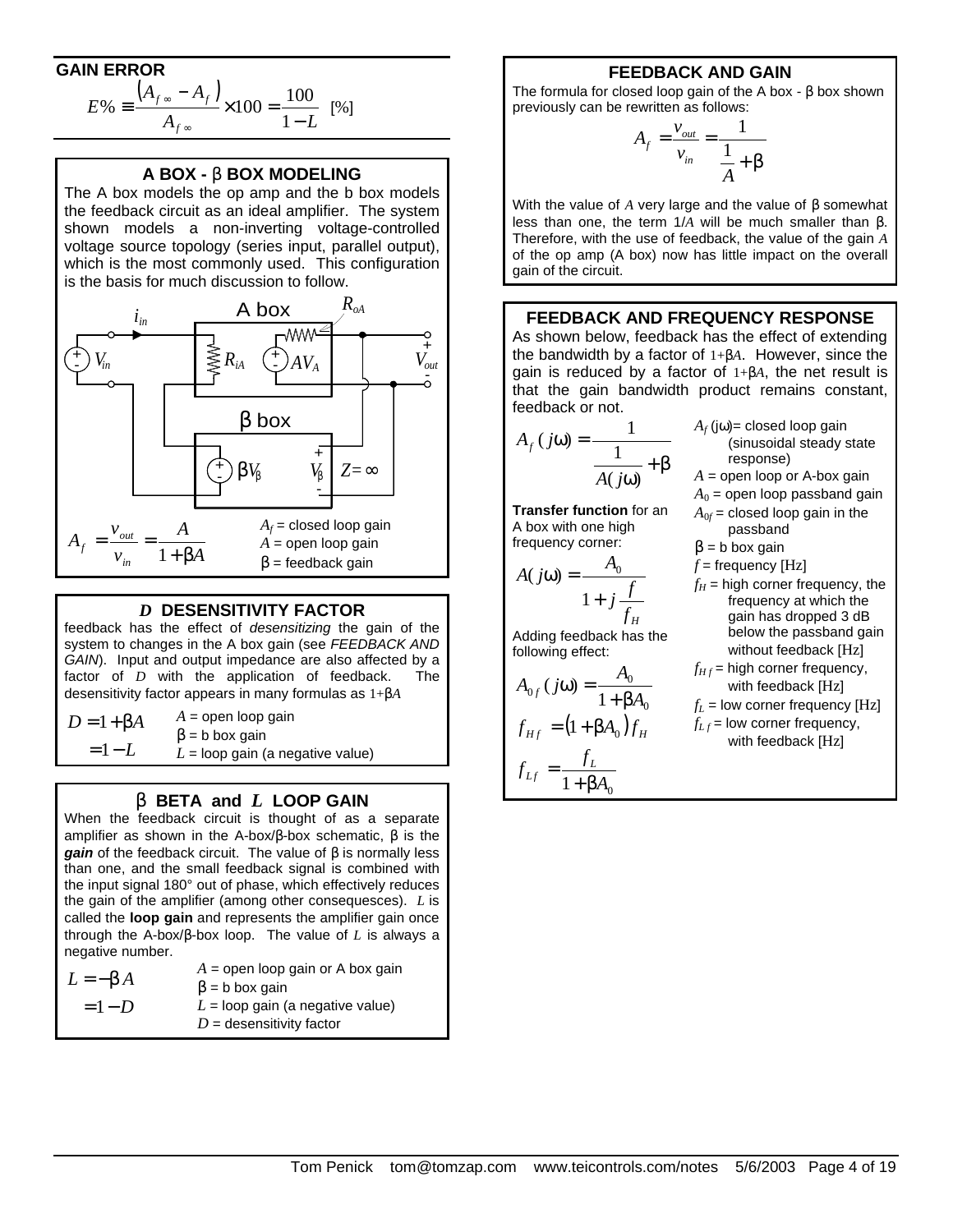# **GAIN ERROR**

$$
E\% \equiv \frac{(A_{f\infty} - A_f)}{A_{f\infty}} \times 100 = \frac{100}{1 - L} \quad [%]
$$

## **A BOX - b BOX MODELING**

The A box models the op amp and the b box models the feedback circuit as an ideal amplifier. The system shown models a non-inverting voltage-controlled voltage source topology (series input, parallel output), which is the most commonly used. This configuration is the basis for much discussion to follow.



## *D* **DESENSITIVITY FACTOR**

feedback has the effect of *desensitizing* the gain of the system to changes in the A box gain (see *FEEDBACK AND GAIN*). Input and output impedance are also affected by a factor of *D* with the application of feedback. The desensitivity factor appears in many formulas as 1+β*A*

 $D = 1 + \beta A$  $= 1 - L$ *A* = open loop gain  $β = b$  box gain  $L =$ loop gain (a negative value)

## **b BETA and** *L* **LOOP GAIN**

When the feedback circuit is thought of as a separate amplifier as shown in the A-box/β-box schematic,  $β$  is the *gain* of the feedback circuit. The value of β is normally less than one, and the small feedback signal is combined with the input signal 180° out of phase, which effectively reduces the gain of the amplifier (among other consequesces). *L* is called the **loop gain** and represents the amplifier gain once through the A-box/β-box loop. The value of *L* is always a negative number.

| $L = -bA$ | $A =$ open loop gain or A box gain |
|-----------|------------------------------------|
|           | $\beta$ = b box gain               |
| $=1-D$    | $L =$ loop gain (a negative value) |
|           | $D =$ desensitivity factor         |
|           |                                    |

# **FEEDBACK AND GAIN**

The formula for closed loop gain of the A box - β box shown previously can be rewritten as follows:

$$
A_f = \frac{v_{out}}{v_{in}} = \frac{1}{\frac{1}{A} + b}
$$

With the value of *A* very large and the value of β somewhat less than one, the term 1/*A* will be much smaller than β. Therefore, with the use of feedback, the value of the gain *A* of the op amp (A box) now has little impact on the overall gain of the circuit.

### **FEEDBACK AND FREQUENCY RESPONSE**

As shown below, feedback has the effect of extending the bandwidth by a factor of 1+β*A*. However, since the gain is reduced by a factor of 1+β*A*, the net result is that the gain bandwidth product remains constant, feedback or not.

$$
A_f(j\omega) = \frac{1}{\frac{1}{A(j\omega)} + \beta}
$$

**Transfer function** for an A box with one high frequency corner:

$$
A(j\omega) = \frac{A_0}{1 + j\frac{f}{f_H}}
$$

passband  $β = b$  box gain  $f$  = frequency [Hz]  $f_H$  = high corner frequency, the frequency at which the gain has dropped 3 dB below the passband gain without feedback [Hz]

 $A_f$  (jω)= closed loop gain

response)  $A =$  open loop or A-box gain  $A_0$  = open loop passband gain  $A_{0f}$  = closed loop gain in the

(sinusoidal steady state

Adding feedback has the following effect:

$$
A_{0f} (j\omega) = \frac{A_0}{1 + \beta A_0}
$$

$$
f_{Hf} = (1 + \beta A_0) f_H
$$

$$
f_{Lf} = \frac{f_L}{1 + \beta A_0}
$$

 $1 + \beta A_0$ 

 $f_{Hf}$  = high corner frequency, with feedback [Hz]  $f_I$  = low corner frequency  $[Hz]$ 

$$
f_{Lf} = \text{low corner frequency},
$$
  
with feedback [Hz]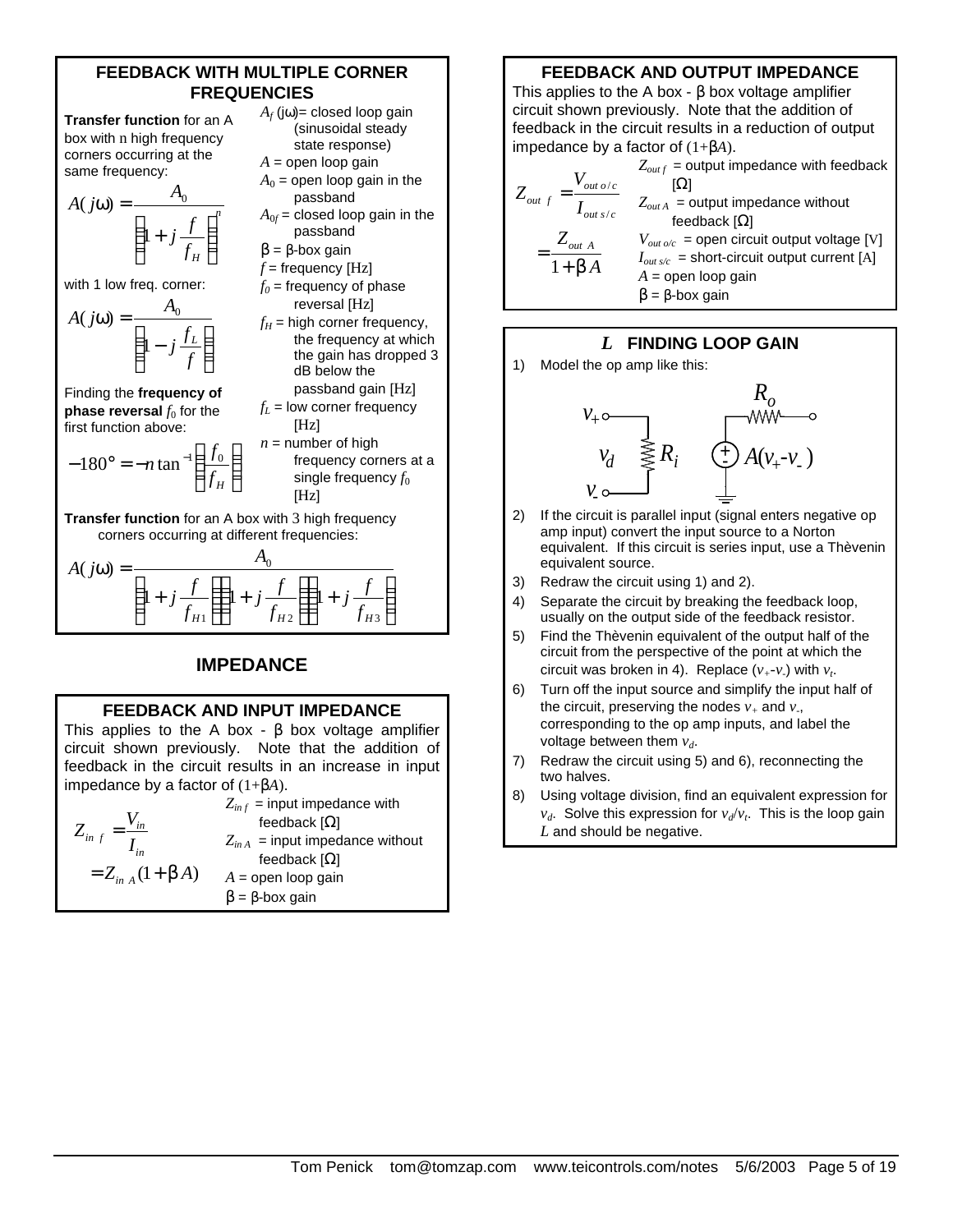# **FEEDBACK WITH MULTIPLE CORNER FREQUENCIES**

**Transfer function** for an A box with n high frequency corners occurring at the same frequency:

$$
A(j\omega) = \frac{A_0}{\left(1 + j\frac{f}{f_H}\right)^n}
$$

with 1 low freq. corner:

$$
A(j\omega) = \frac{A_0}{\left(1 - j\frac{f_L}{f}\right)}
$$

Finding the **frequency of phase reversal**  $f_0$  for the first function above:

$$
-180^\circ = -n \tan^{-1} \left( \frac{f_0}{f_H} \right)
$$

I J  $\bigg)$  $\left( \frac{1}{2} \right)$  $f_0$  = frequency of phase reversal [Hz]  $f_H$  = high corner frequency, the frequency at which the gain has dropped 3 dB below the passband gain [Hz]  $f_L$  = low corner frequency  $[Hz]$  $n =$  number of high frequency corners at a single frequency  $f_0$ [Hz]

 $A_f$  (j $\omega$ )= closed loop gain (sinusoidal steady state response)  $A =$  open loop gain  $A_0$  = open loop gain in the passband  $A_{0f}$  = closed loop gain in the passband  $β = β$ -box gain  $f$  = frequency [Hz]

**Transfer function** for an A box with 3 high frequency corners occurring at different frequencies:

$$
A(j\omega) = \frac{A_0}{\left(1 + j\frac{f}{f_{H1}}\right)\left(1 + j\frac{f}{f_{H2}}\right)\left(1 + j\frac{f}{f_{H3}}\right)}
$$

# **IMPEDANCE**

#### **FEEDBACK AND INPUT IMPEDANCE**

This applies to the A box -  $\beta$  box voltage amplifier circuit shown previously. Note that the addition of feedback in the circuit results in an increase in input impedance by a factor of (1+β*A*).

$$
Z_{inf} = \frac{V_{in}}{I_{in}}
$$
\n
$$
Z_{inf} = \frac{V_{in}}{I_{in}}
$$
\n
$$
Z_{in A} = \text{input impedance without}
$$
\n
$$
= Z_{in A} (1 + \mathbf{b} A)
$$
\n
$$
= \beta - \beta - \beta
$$
\n
$$
= \beta - \beta - \beta
$$
\n
$$
= \beta - \beta
$$

# **FEEDBACK AND OUTPUT IMPEDANCE** This applies to the A box -  $\beta$  box voltage amplifier circuit shown previously. Note that the addition of

feedback in the circuit results in a reduction of output impedance by a factor of (1+β*A*). / / 1 *out o c out f out*  $s/c$ *out A Z V Z I b A*  $=\frac{V_{out\,o/c}}{I}$   $Z_{I}$  [Ω] = +  $Z_{outf}$  = output impedance with feedback  $Z_{outA}$  = output impedance without feedback  $[Ω]$  $V_{out o/c}$  = open circuit output voltage [V] *Iout s/c* = short-circuit output current [A]  $A =$  open loop gain

 $β = β$ -box gain

# *L* **FINDING LOOP GAIN**

1) Model the op amp like this:



- 2) If the circuit is parallel input (signal enters negative op amp input) convert the input source to a Norton equivalent. If this circuit is series input, use a Thèvenin equivalent source.
- 3) Redraw the circuit using 1) and 2).
- 4) Separate the circuit by breaking the feedback loop, usually on the output side of the feedback resistor.
- 5) Find the Thèvenin equivalent of the output half of the circuit from the perspective of the point at which the circuit was broken in 4). Replace  $(v_+ - v_*)$  with  $v_t$ .
- 6) Turn off the input source and simplify the input half of the circuit, preserving the nodes  $v_+$  and  $v_+$ , corresponding to the op amp inputs, and label the voltage between them *vd*.
- 7) Redraw the circuit using 5) and 6), reconnecting the two halves.
- 8) Using voltage division, find an equivalent expression for *vd*. Solve this expression for *vd*/*v<sup>t</sup>* . This is the loop gain *L* and should be negative.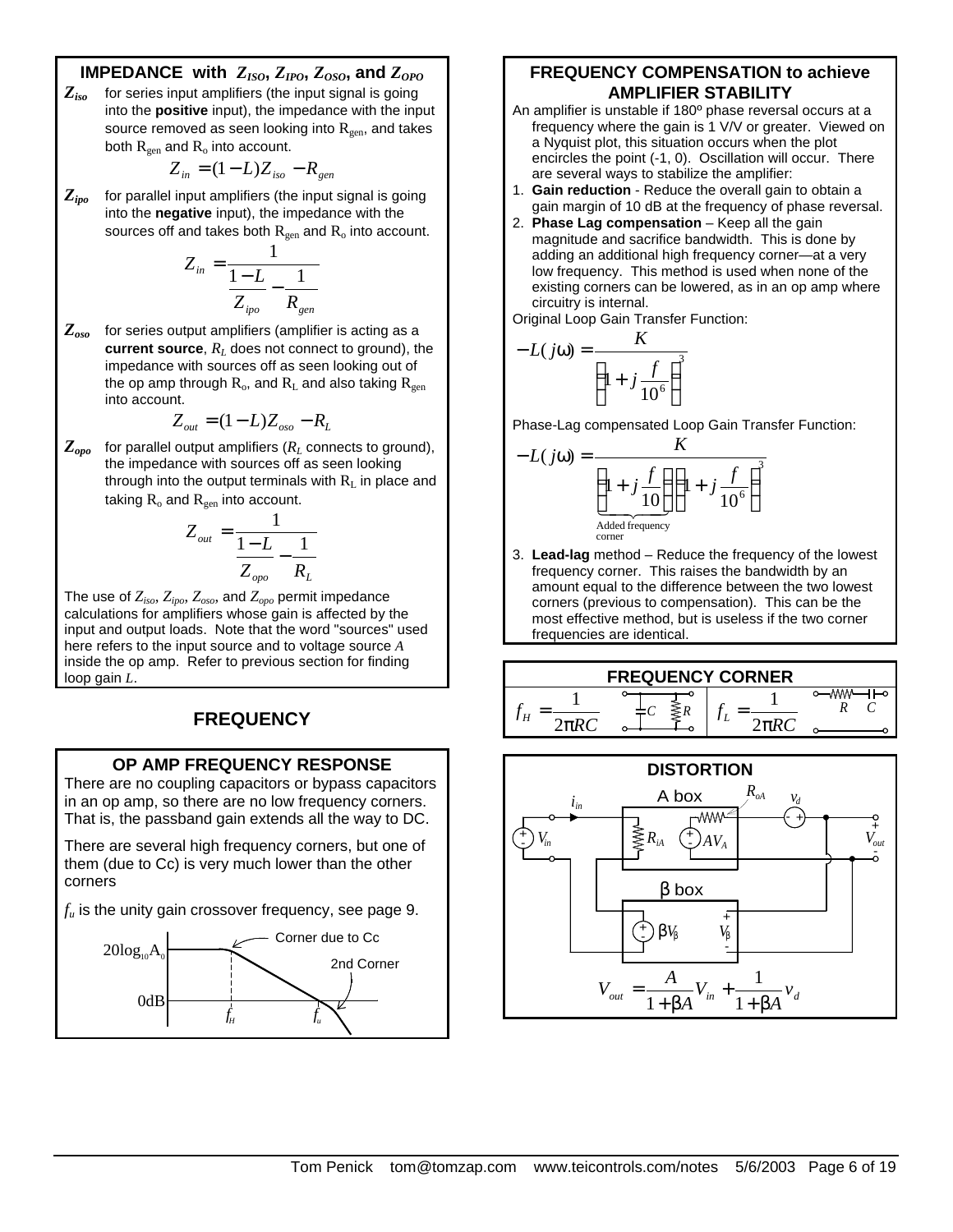# **IMPEDANCE** with  $Z_{ISO}$ ,  $Z_{IPO}$ ,  $Z_{OSO}$ , and  $Z_{OPO}$

*Ziso* for series input amplifiers (the input signal is going into the **positive** input), the impedance with the input source removed as seen looking into  $R_{gen}$ , and takes both  $R_{gen}$  and  $R_o$  into account.

$$
Z_{in} = (1 - L)Z_{iso} - R_{gen}
$$

*Zipo* for parallel input amplifiers (the input signal is going into the **negative** input), the impedance with the sources off and takes both  $R_{gen}$  and  $R_o$  into account.

$$
Z_{in} = \frac{1}{\frac{1-L}{Z_{ipo}} - \frac{1}{R_{gen}}}
$$

*Zoso* for series output amplifiers (amplifier is acting as a **current source**,  $R_L$  does not connect to ground), the impedance with sources off as seen looking out of the op amp through  $R_o$ , and  $R_L$  and also taking  $R_{gen}$ into account.

$$
Z_{out} = (1 - L)Z_{oso} - R_L
$$

 $Z_{\text{ono}}$  for parallel output amplifiers ( $R_L$  connects to ground), the impedance with sources off as seen looking through into the output terminals with  $R_L$  in place and taking  $R_0$  and  $R_{gen}$  into account.

$$
Z_{out} = \frac{1}{\frac{1 - L}{Z_{opo}} - \frac{1}{R_L}}
$$

The use of *Ziso*, *Zipo*, *Zoso*, and *Zopo* permit impedance calculations for amplifiers whose gain is affected by the input and output loads. Note that the word "sources" used here refers to the input source and to voltage source *A* inside the op amp. Refer to previous section for finding loop gain *L*.

# **FREQUENCY**

## **OP AMP FREQUENCY RESPONSE**

There are no coupling capacitors or bypass capacitors in an op amp, so there are no low frequency corners. That is, the passband gain extends all the way to DC.

There are several high frequency corners, but one of them (due to Cc) is very much lower than the other corners

*fu* is the unity gain crossover frequency, see page 9.



# **FREQUENCY COMPENSATION to achieve AMPLIFIER STABILITY**

- An amplifier is unstable if 180º phase reversal occurs at a frequency where the gain is 1 V/V or greater. Viewed on a Nyquist plot, this situation occurs when the plot encircles the point (-1, 0). Oscillation will occur. There are several ways to stabilize the amplifier:
- 1. **Gain reduction** Reduce the overall gain to obtain a gain margin of 10 dB at the frequency of phase reversal.
- 2. **Phase Lag compensation** Keep all the gain magnitude and sacrifice bandwidth. This is done by adding an additional high frequency corner—at a very low frequency. This method is used when none of the existing corners can be lowered, as in an op amp where circuitry is internal.

Original Loop Gain Transfer Function:

$$
-L(j\omega) = \frac{K}{\left(1 + j\frac{f}{10^6}\right)^3}
$$

Phase-Lag compensated Loop Gain Transfer Function:

$$
-L(j\omega) = \frac{K}{\left(1+j\frac{f}{10}\right)\left(1+j\frac{f}{10^6}\right)^3}
$$
  
 
$$
\frac{A \text{dded frequency}}{\text{corner}}
$$

3. **Lead-lag** method – Reduce the frequency of the lowest frequency corner. This raises the bandwidth by an amount equal to the difference between the two lowest corners (previous to compensation). This can be the most effective method, but is useless if the two corner frequencies are identical.



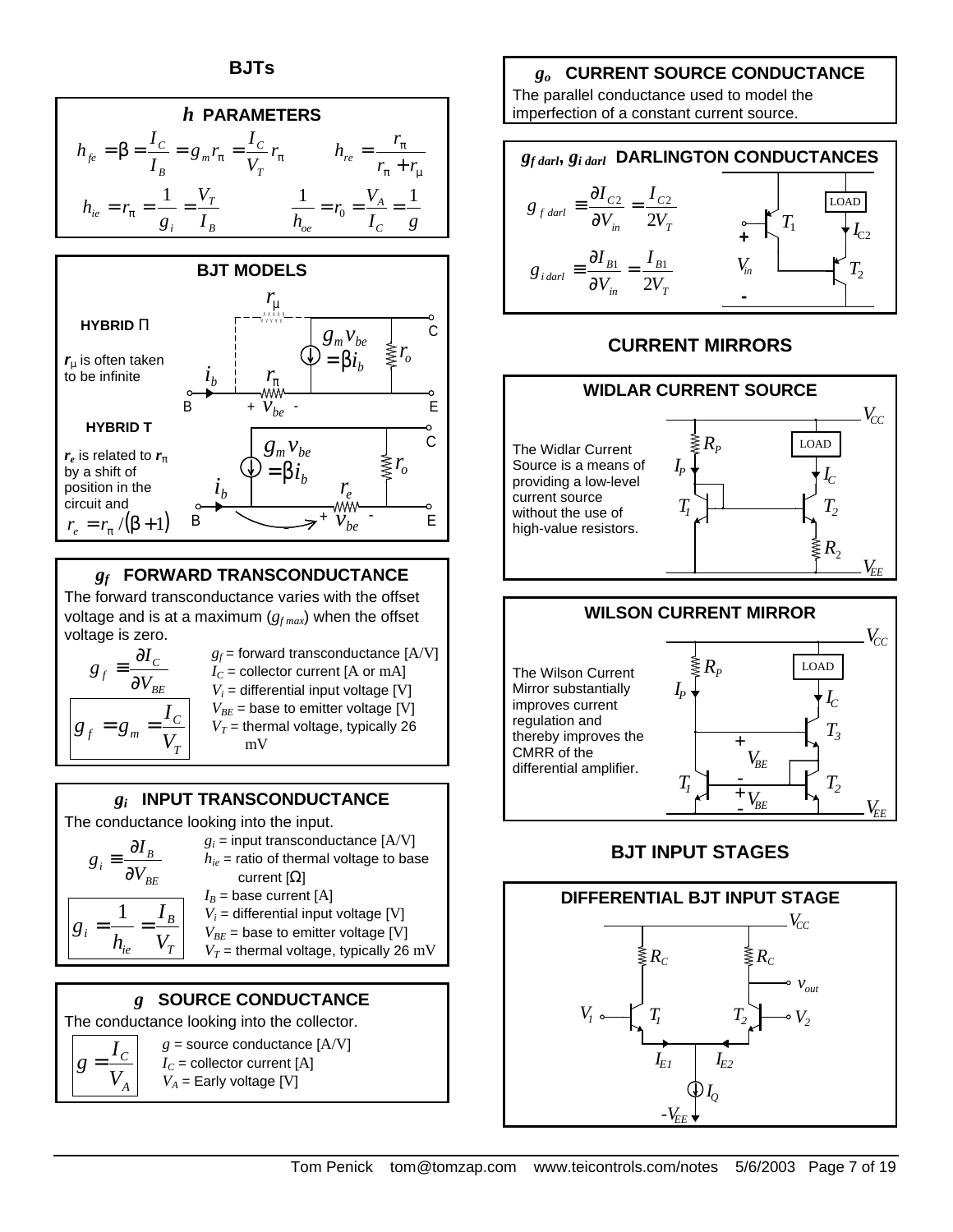

The forward transconductance varies with the offset voltage and is at a maximum  $(g<sub>f max</sub>)$  when the offset voltage is zero.

$$
g_f \equiv \frac{\partial I_c}{\partial V_{BE}}
$$

$$
g_f = g_m = \frac{I_c}{V_T}
$$

 $g =$ 

 $g_f$  = forward transconductance  $[A/V]$  $I_C$  = collector current [A or mA]  $V_i$  = differential input voltage [V]  $V_{BE}$  = base to emitter voltage [V]  $V_T$  = thermal voltage, typically 26 mV

# *gi*  **INPUT TRANSCONDUCTANCE**

The conductance looking into the input.

$$
g_i = \frac{\partial I_B}{\partial V_{BE}}
$$
\n
$$
g_i = \text{input transconductance [A/V]}
$$
\n
$$
h_{ie} = \text{ratio of thermal voltage to base}
$$
\n
$$
\text{current } [\Omega]
$$
\n
$$
I_B = \text{base current [A]}
$$
\n
$$
V_i = \text{differential input voltage [V]}
$$
\n
$$
V_{BE} = \text{base to emitter voltage [V]}
$$
\n
$$
V_T = \text{thermal voltage, typically 26 mV}
$$

# *g* **SOURCE CONDUCTANCE**

The conductance looking into the collector. *A V C I*  $g$  = source conductance  $[A/V]$  $I_C$  = collector current [A]  $V_A$  = Early voltage [V]

# *go* **CURRENT SOURCE CONDUCTANCE**

The parallel conductance used to model the imperfection of a constant current source.



# **CURRENT MIRRORS**





# **BJT INPUT STAGES**

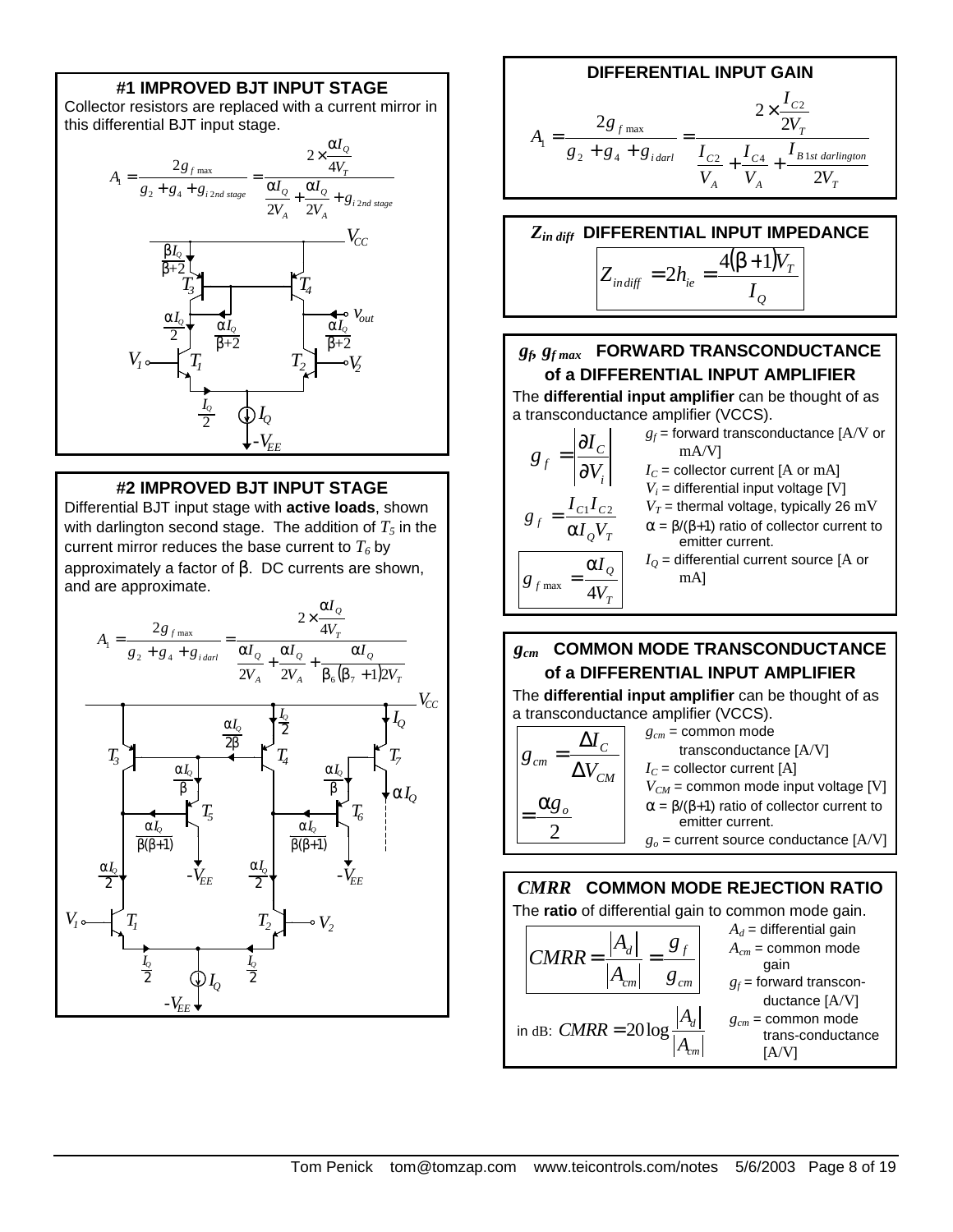# **#1 IMPROVED BJT INPUT STAGE**

Collector resistors are replaced with a current mirror in this differential BJT input stage.



# **#2 IMPROVED BJT INPUT STAGE**

Differential BJT input stage with **active loads**, shown with darlington second stage. The addition of  $T_5$  in the current mirror reduces the base current to  $T<sub>6</sub>$  by approximately a factor of β. DC currents are shown, and are approximate.



#### **DIFFERENTIAL INPUT GAIN** *T B st darlington A C A C T C i darl f V I V I V I V I*  $g_2 + g_4 + g$ *g A* 2 2  $2g_{f_{\text{max}}}$  2 2  $\frac{I_{C4}}{I_{C4}}$   $\frac{I_{B1}}{I_{C4}}$ 2 2 54 max 1  $+\frac{1}{1}$  + × =  $+ g_4 +$ =

#### *Zin dif<sup>f</sup>*  **DIFFERENTIAL INPUT IMPEDANCE**  $(\beta + 1)$ *Q T*  $\frac{d}{dt}$  *indiff*  $\frac{d}{dt}$   $\frac{d}{dt}$   $\frac{d}{dt}$   $\frac{d}{dt}$ *V*  $Z_{indiff} = 2h$  $4(\beta + 1)$ 2  $\beta +$  $= 2h_{ie} =$

# *gf , gf max* **FORWARD TRANSCONDUCTANCE of a DIFFERENTIAL INPUT AMPLIFIER**

The **differential input amplifier** can be thought of as a transconductance amplifier (VCCS).

|                                             | $g_f$ = forward transconductance [A/V or<br>mA/V                             |
|---------------------------------------------|------------------------------------------------------------------------------|
|                                             | $I_C$ = collector current [A or mA]                                          |
|                                             | $V_i$ = differential input voltage [V]                                       |
| $g_f = \frac{I_{C1}I_{C2}}{\alpha I_o V_T}$ | $V_T$ = thermal voltage, typically 26 mV                                     |
|                                             | $\alpha = \beta/(\beta+1)$ ratio of collector current to<br>emitter current. |
| $\alpha I_{\varrho}$                        | $IO$ = differential current source [A or                                     |
|                                             | mAl                                                                          |

# *gcm* **COMMON MODE TRANSCONDUCTANCE of a DIFFERENTIAL INPUT AMPLIFIER**

The **differential input amplifier** can be thought of as a transconductance amplifier (VCCS).



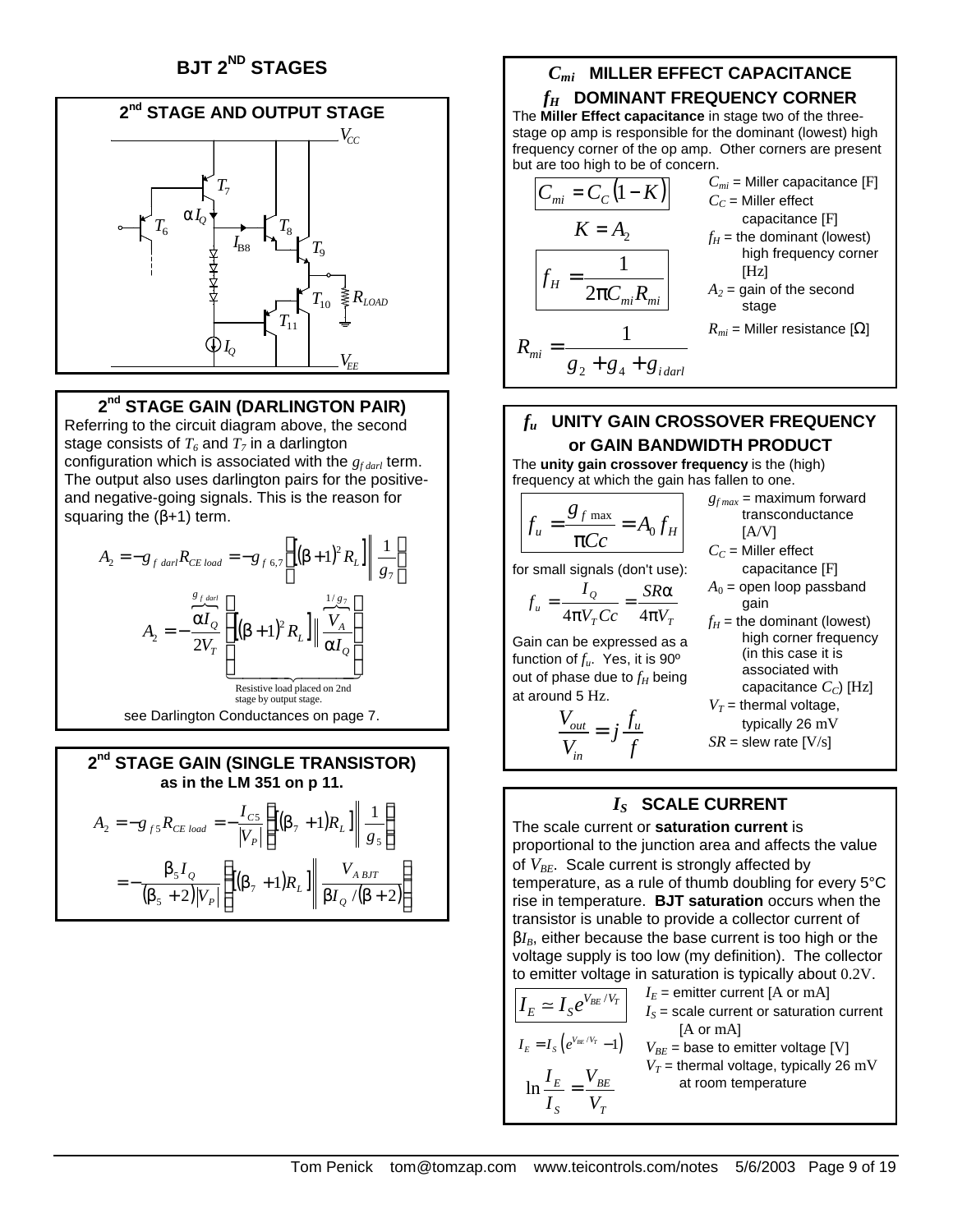# **BJT 2ND STAGES**



# **2 nd STAGE GAIN (DARLINGTON PAIR)**

Referring to the circuit diagram above, the second stage consists of  $T_6$  and  $T_7$  in a darlington configuration which is associated with the *gf darl* term. The output also uses darlington pairs for the positiveand negative-going signals. This is the reason for squaring the  $(\beta+1)$  term.

$$
A_2 = -g_{f \text{ dari}} R_{CE \text{ load}} = -g_{f \text{ 6,7}} \left\{ \left[ (\beta + 1)^2 R_L \right] \middle| \frac{1}{g_7} \right\}
$$

$$
A_2 = -\frac{\overline{\alpha I_Q}}{2V_T} \left\{ \left[ (\beta + 1)^2 R_L \right] \middle| \frac{\overline{V_A}}{\overline{\alpha I_Q}} \right\}
$$
  
Resistive load placed on 2nd  
stage by output stage.  
See Darlington Conductances on page 7.

$$
2nd STAGE GAIN (SINGLE TRANSISTOR)
$$
  
as in the LM 351 on p 11.  

$$
A_2 = -g_{fs}R_{CE\ load} = -\frac{I_{CS}}{|V_P|}\left\{ [(\beta_7 + 1)R_L] \middle| \frac{1}{g_s} \right\}
$$

$$
= -\frac{\beta_5 I_Q}{(\beta_5 + 2)|V_P|} \left\{ [(\beta_7 + 1)R_L] \middle| \frac{V_{ABIT}}{\beta I_Q / (\beta + 2)} \right\}
$$

# *Cmi* **MILLER EFFECT CAPACITANCE**

*fH* **DOMINANT FREQUENCY CORNER** The **Miller Effect capacitance** in stage two of the threestage op amp is responsible for the dominant (lowest) high frequency corner of the op amp. Other corners are present but are too high to be of concern. *Cmi* = Miller capacitance [F]



# *fu* **UNITY GAIN CROSSOVER FREQUENCY or GAIN BANDWIDTH PRODUCT**

The **unity gain crossover frequency** is the (high) frequency at which the gain has fallen to one.  $g_{f max}$  = maximum forward

$$
f_u = \frac{g_{f \max}}{\pi C c} = A_0 f_H
$$

for small signals (don't use): *Q*

 $u = 4\pi V<sub>T</sub> Cc$ <sup>-</sup>  $4\pi V$ 

 $4\pi V_{T}$ Cc 4 Gain can be expressed as a function of *fu*. Yes, it is 90º out of phase due to  $f_H$  being

 $V<sub>r</sub>$  $Cc$ *I*

 $V_{\textit{out}} = f_u$ 

π =

at around 5 Hz.

*V*

*in*  $\frac{out}{\sqrt{2}} =$ 

*f*

 $T^{\text{UL}}$  *THE* 

*f f j*

π

*SR*  $=\frac{SR\alpha}{\sqrt{2}}$ capacitance [F]  $A_0$  = open loop passband

 $[A/V]$  $C_C$  = Miller effect

gain

transconductance

- $f_H$  = the dominant (lowest) high corner frequency (in this case it is associated with capacitance *CC*) [Hz]
- $V_T$  = thermal voltage, typically 26 mV
- $SR =$  slew rate  $[V/s]$

# *IS* **SCALE CURRENT**

The scale current or **saturation current** is proportional to the junction area and affects the value of  $V_{BE}$ . Scale current is strongly affected by temperature, as a rule of thumb doubling for every 5°C rise in temperature. **BJT saturation** occurs when the transistor is unable to provide a collector current of β*IB*, either because the base current is too high or the voltage supply is too low (my definition). The collector to emitter voltage in saturation is typically about 0.2V.

| $I_E \simeq I_S e^{V_{BE}/V_T}$                       | $I_E$ = emitter current [A or mA]                            |
|-------------------------------------------------------|--------------------------------------------------------------|
| $I_S$ = scale current or saturation current [A or mA] |                                                              |
| $I_E = I_S (e^{V_{BE}/V_T} - 1)$                      | $V_{BE}$ = base to emitter voltage [V]                       |
| $\ln \frac{I_E}{I_S} = \frac{V_{BE}}{V_T}$            | $V_T$ = thermal voltage, typically 26 mV at room temperature |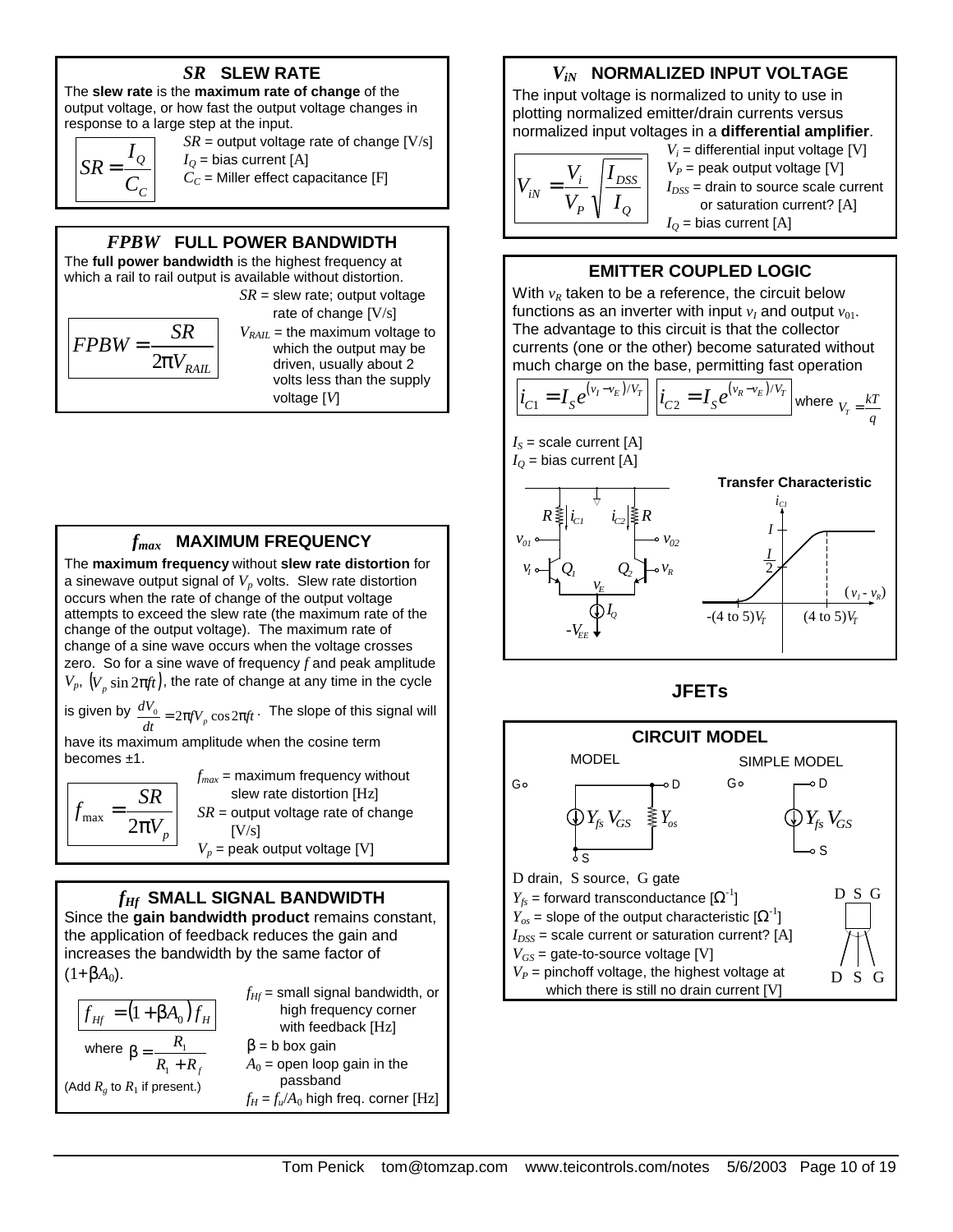# *SR* **SLEW RATE**

The **slew rate** is the **maximum rate of change** of the output voltage, or how fast the output voltage changes in response to a large step at the input.

$$
SR = \frac{I_Q}{C_C}
$$

 $SR =$  output voltage rate of change  $[V/s]$  $I<sub>O</sub>$  = bias current [A]

 $C_C$  = Miller effect capacitance [F]

# *FPBW* **FULL POWER BANDWIDTH**

The **full power bandwidth** is the highest frequency at which a rail to rail output is available without distortion.

$$
FPBW = \frac{SR}{2pV_{RAIL}}
$$

*SR* = slew rate; output voltage rate of change [V/s]  $V_{RAIL}$  = the maximum voltage to which the output may be driven, usually about 2 volts less than the supply

voltage [*V*]

*fmax* **MAXIMUM FREQUENCY**

The **maximum frequency** without **slew rate distortion** for a sinewave output signal of *Vp* volts. Slew rate distortion occurs when the rate of change of the output voltage attempts to exceed the slew rate (the maximum rate of the change of the output voltage). The maximum rate of change of a sine wave occurs when the voltage crosses zero. So for a sine wave of frequency *f* and peak amplitude  $V_p, (V_p \sin 2πft)$ , the rate of change at any time in the cycle

is given by  $\frac{dV_0}{dt} = 2\pi fV_p \cos 2\pi f t$  $\frac{dV_0}{dt}$  = 2π*fV<sub>p</sub>* cos 2π*ft* · The slope of this signal will

have its maximum amplitude when the cosine term becomes ±1.

 $\mathcal{V}_p$  $f_{\text{max}} = \frac{SR}{2\pi r}$ π = 2  $J_{\text{max}}$  $f_{max}$  = maximum frequency without slew rate distortion [Hz] *SR* = output voltage rate of change  $[V/s]$  $V_p$  = peak output voltage [V]

# *fHf* **SMALL SIGNAL BANDWIDTH**

Since the **gain bandwidth product** remains constant, the application of feedback reduces the gain and increases the bandwidth by the same factor of  $(1+\beta A_0)$ .

|                                       | $f_{Hf}$ = small signal bandwidth, or  |
|---------------------------------------|----------------------------------------|
| $ f_{Hf} = (1 + \beta A_0) f_H $      | high frequency corner                  |
|                                       | with feedback [Hz]                     |
| where $\beta = \frac{R_1}{R_1 + R_f}$ | $\beta$ = b box gain                   |
|                                       | $A_0$ = open loop gain in the          |
| (Add $R_g$ to $R_1$ if present.)      | passband                               |
|                                       | $f_H = f_u/A_0$ high freq. corner [Hz] |

# *ViN* **NORMALIZED INPUT VOLTAGE**

The input voltage is normalized to unity to use in plotting normalized emitter/drain currents versus normalized input voltages in a **differential amplifier**.

$$
V_{iN} = \frac{V_i}{V_P} \sqrt{\frac{I_{DSS}}{I_Q}}
$$

 $V_i$  = differential input voltage [V]  $V_P$  = peak output voltage [V]  $I_{DSS}$  = drain to source scale current or saturation current? [A]  $I<sub>O</sub>$  = bias current [A]

## **EMITTER COUPLED LOGIC**

With  $v_R$  taken to be a reference, the circuit below functions as an inverter with input  $v_I$  and output  $v_{01}$ . The advantage to this circuit is that the collector currents (one or the other) become saturated without much charge on the base, permitting fast operation

$$
i_{C1} = I_S e^{(v_I - v_E)/V_T} \left[ i_{C2} = I_S e^{(v_R - v_E)/V_T} \right]
$$
 where  $v_r = \frac{kT}{q}$ 





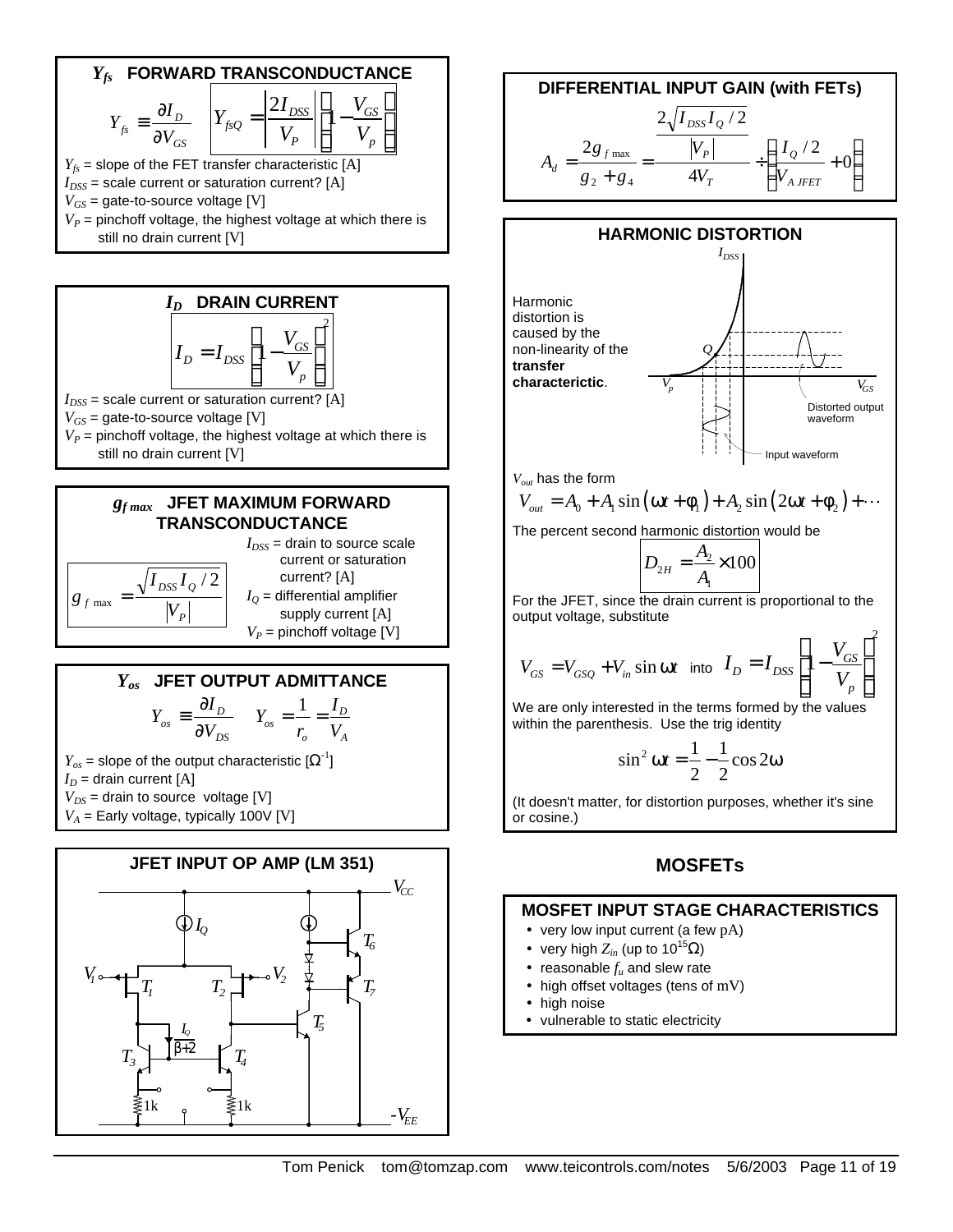



**EXAMPLE**  
\n
$$
I_{DSS} = \text{drain to source sec}
$$
\ncurrent or saturation  
\ncurrent? [A]  
\n
$$
B_{f \text{ max}} = \frac{\sqrt{I_{DSS} I_Q / 2}}{|V_P|}
$$
\n
$$
I_Q = \text{differential amplifier}
$$
\n
$$
V_P = \text{pinchoff voltage [V]}
$$

#### *Yos* **JFET OUTPUT ADMITTANCE** *DS*  $\dot{\theta}_{os}$  =  $\frac{\partial I_D}{\partial V_D}$  $Y_{\alpha s} \equiv \frac{\partial I}{\partial x^3}$ ∂  $\equiv \frac{\partial I_D}{\partial V}$   $Y_{os} = \frac{1}{V} = \frac{I_D}{V}$ *o A*  $Y_{\alpha s} = \frac{1}{\alpha} = \frac{I}{I}$  $r_{o}$  V  $= - =$

 $=$  drain to source scale current or saturation current? [A] *IQ* = differential amplifier supply current [A]

 $Y_{os}$  = slope of the output characteristic  $[\boldsymbol{\Omega}^{-1}]$  $I_D$  = drain current [A]  $V_{DS}$  = drain to source voltage [V]  $V_A$  = Early voltage, typically 100V [V]



**DIFFERENTIAL INPUT GAIN (with FETS)**  

$$
A_d = \frac{2g_{fmax}}{g_2 + g_4} = \frac{\frac{2\sqrt{I_{DSS}I_Q/2}}{V_P}}{4V_T} + \left(\frac{I_Q/2}{V_{A\text{ JFET}}} + 0\right)
$$



*Vout* has the form

$$
V_{out} = A_0 + A_1 \sin(\omega t + \phi_1) + A_2 \sin(2\omega t + \phi_2) + \cdots
$$

The percent second harmonic distortion would be

$$
D_{2H} = \frac{A_2}{A_1} \times 100
$$

For the JFET, since the drain current is proportional to the output voltage, substitute

$$
V_{GS} = V_{GSQ} + V_{in} \sin \omega t \text{ into } I_D = I_{DSS} \left[ 1 - \frac{V_{GS}}{V_p} \right]^2
$$

We are only interested in the terms formed by the values within the parenthesis. Use the trig identity

$$
\sin^2 \omega t = \frac{1}{2} - \frac{1}{2} \cos 2\omega
$$

(It doesn't matter, for distortion purposes, whether it's sine or cosine.)

# **MOSFETs**

# **MOSFET INPUT STAGE CHARACTERISTICS**

- very low input current (a few pA)
- very high  $Z_{in}$  (up to 10<sup>15</sup> $\Omega$ )
- reasonable  $f_u$  and slew rate
- high offset voltages (tens of mV)
- high noise
- vulnerable to static electricity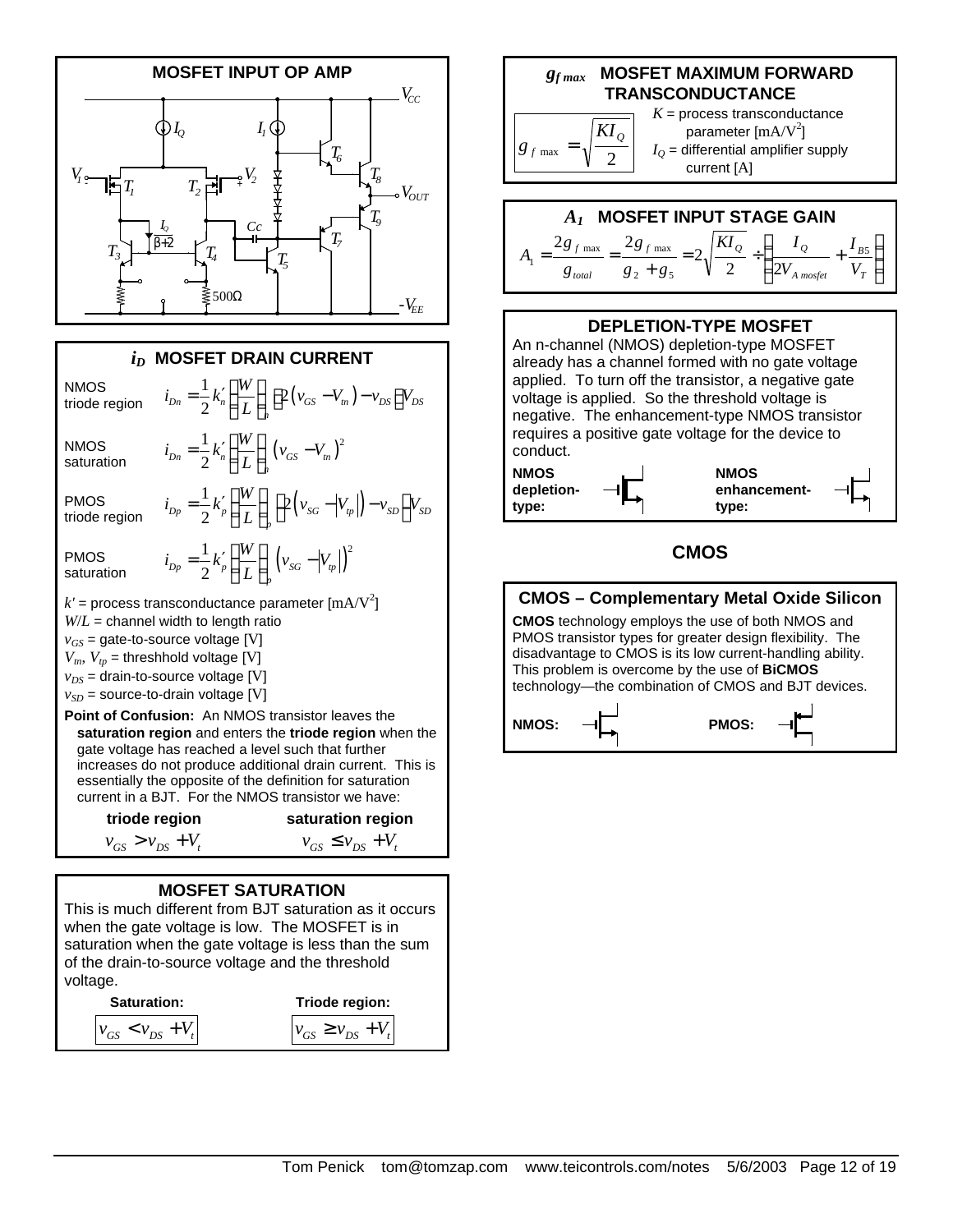

saturation when the gate voltage is less than the sum of the drain-to-source voltage and the threshold voltage.

**Saturation:**  $v_{GS}$  <  $v_{DS}$  +  $V_t$ **Triode region:**  $v_{GS} \ge v_{DS} + V_t$    $\bigg)$ 

*T B*

*V*

 $\left( \right)$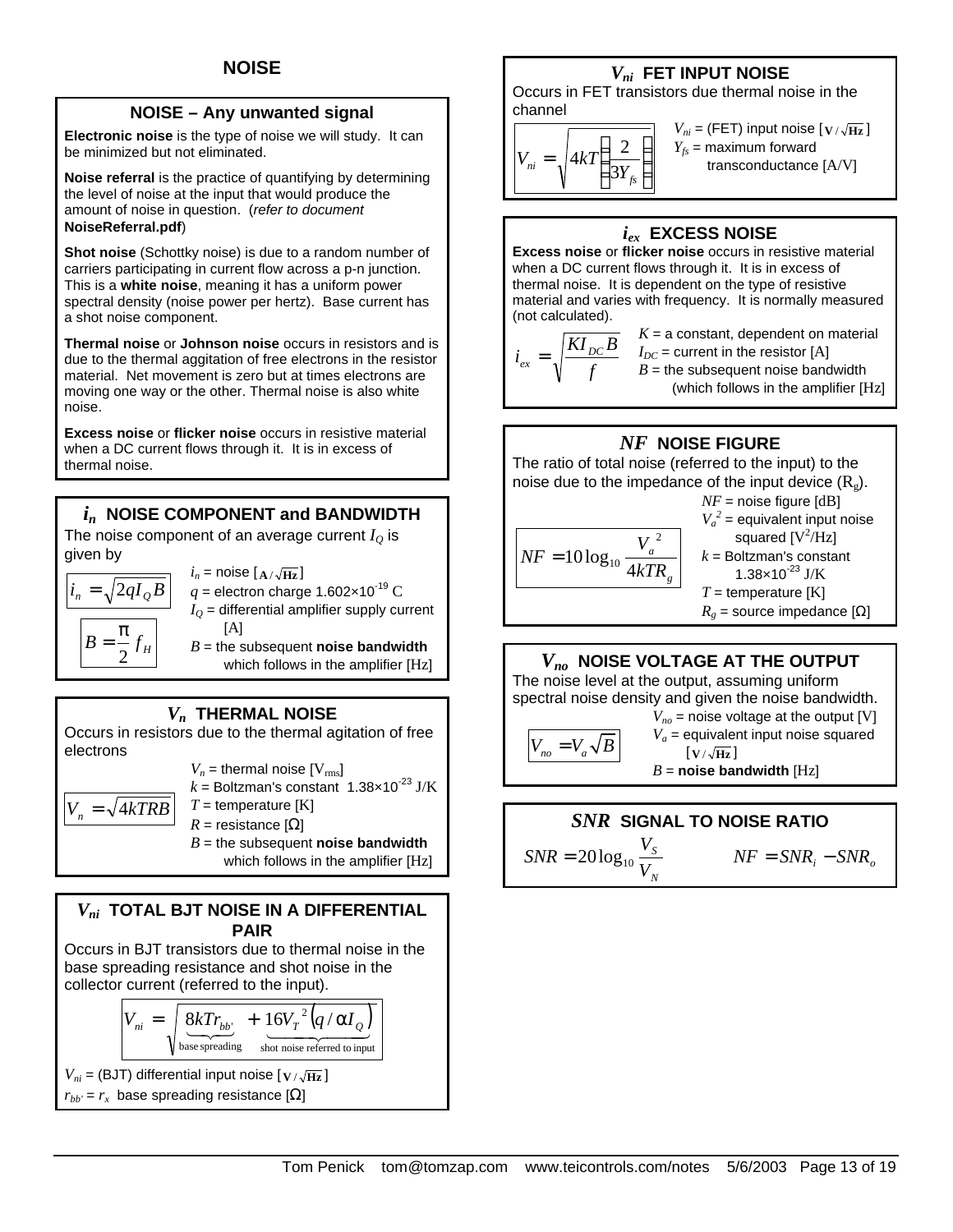## **NOISE – Any unwanted signal**

**Electronic noise** is the type of noise we will study. It can be minimized but not eliminated.

**Noise referral** is the practice of quantifying by determining the level of noise at the input that would produce the amount of noise in question. (*refer to document*  **NoiseReferral.pdf**)

**Shot noise** (Schottky noise) is due to a random number of carriers participating in current flow across a p-n junction. This is a **white noise**, meaning it has a uniform power spectral density (noise power per hertz). Base current has a shot noise component.

**Thermal noise** or **Johnson noise** occurs in resistors and is due to the thermal aggitation of free electrons in the resistor material. Net movement is zero but at times electrons are moving one way or the other. Thermal noise is also white noise.

**Excess noise** or **flicker noise** occurs in resistive material when a DC current flows through it. It is in excess of thermal noise.

# *i<sup>n</sup>* **NOISE COMPONENT and BANDWIDTH**

The noise component of an average current  $I<sub>O</sub>$  is given by

$$
i_n = \sqrt{2qI_QB}
$$

$$
B = \frac{\pi}{2}f_H
$$

 $i_n$  = noise  $\left[ \frac{A}{\sqrt{Hz}} \right]$  $q$  = electron charge 1.602×10<sup>-19</sup> C  $I<sub>O</sub>$  = differential amplifier supply current [A]  $B =$  the subsequent **noise bandwidth** 

which follows in the amplifier [Hz]

# *Vn* **THERMAL NOISE**

Occurs in resistors due to the thermal agitation of free electrons

$$
V_n = \text{thermal noise [V}_{\text{rms}}]
$$
\n
$$
k = \text{Boltzman's constant } 1.38 \times 10^{-23} \text{ J/K}
$$
\n
$$
T = \text{temperature [K]}
$$
\n
$$
R = \text{resistance [Ω]}
$$
\n
$$
B = \text{the subsequent noise bandwidth}
$$

which follows in the amplifier [Hz]

# *Vni* **TOTAL BJT NOISE IN A DIFFERENTIAL PAIR**

Occurs in BJT transistors due to thermal noise in the base spreading resistance and shot noise in the collector current (referred to the input).

$$
V_{ni} = \sqrt{\frac{8kTr_{bb}}{\text{base spreading}} + \frac{16V_T^2 (q/\alpha I_Q)}{\text{shot noise referred to input}}}
$$

$$
V_{ni} = (BJT)
$$
 differential input noise [ $\mathbf{v}/\sqrt{\mathbf{Hz}}$ ]  
 $r_{bb'} = r_x$  base spreading resistance [ $\Omega$ ]

*Vni* **FET INPUT NOISE**

Occurs in FET transistors due thermal noise in the channel

$$
V_{ni} = \sqrt{4kT\left(\frac{2}{3Y_{fs}}\right)}
$$

 $V_{ni}$  = (FET) input noise  $\left[\sqrt{V/k_{\rm HZ}}\right]$  $Y_{fs}$  = maximum forward transconductance [A/V]

# *iex* **EXCESS NOISE**

**Excess noise** or **flicker noise** occurs in resistive material when a DC current flows through it. It is in excess of thermal noise. It is dependent on the type of resistive material and varies with frequency. It is normally measured (not calculated).

*f*  $i_{ex} = \sqrt{\frac{KI_{DC}B}{c}}$   $K = a$  constant, dependent on material  $I_{DC}$  = current in the resistor [A]  $B =$  the subsequent noise bandwidth (which follows in the amplifier [Hz]

# *NF* **NOISE FIGURE**

The ratio of total noise (referred to the input) to the noise due to the impedance of the input device  $(R<sub>o</sub>)$ .

$$
NF = 10\log_{10}\frac{V_a^2}{4kTR_g}
$$

 $NF$  = noise figure  $[dB]$  $V_a^2$  = equivalent input noise squared  $\rm [V^2/Hz]$ *k* = Boltzman's constant  $1.38\times10^{-23}$  J/K *T* = temperature [K]  $R_g$  = source impedance [ $\Omega$ ]

# *Vno* **NOISE VOLTAGE AT THE OUTPUT**

The noise level at the output, assuming uniform spectral noise density and given the noise bandwidth.

$$
V_{no} = V_a \sqrt{B}
$$

 $V_{no}$  = noise voltage at the output [V]  $V_a$  = equivalent input noise squared  $\left[\mathbf{V}/\sqrt{\mathbf{Hz}}\right]$ *B* = **noise bandwidth** [Hz]

# *SNR* **SIGNAL TO NOISE RATIO**

*N S V V*

 $NF = SNR_i - SNR_i$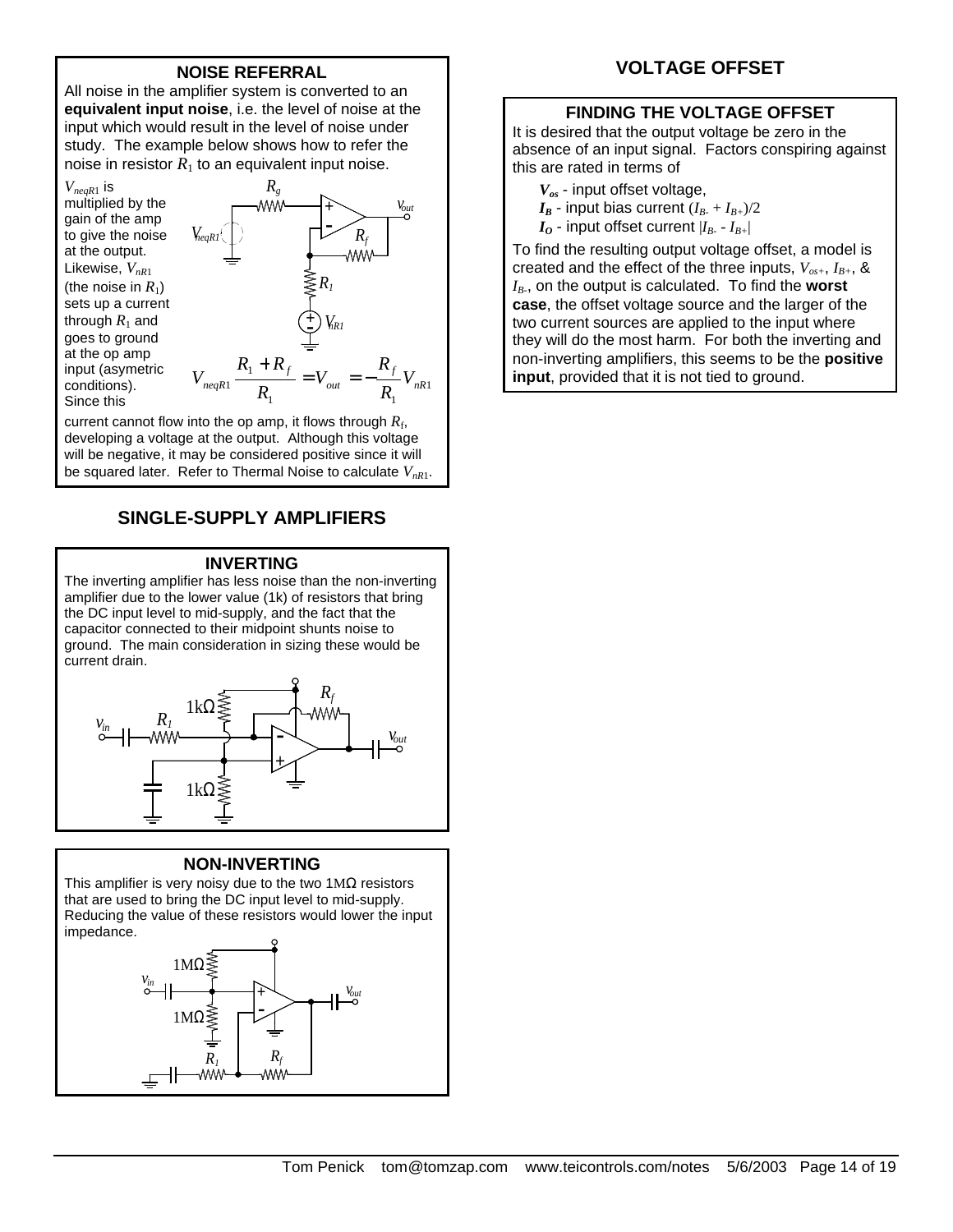## **NOISE REFERRAL**

All noise in the amplifier system is converted to an **equivalent input noise**, i.e. the level of noise at the input which would result in the level of noise under study. The example below shows how to refer the noise in resistor  $R_1$  to an equivalent input noise.

*VneqR*1 is multiplied by the gain of the amp to give the noise at the output. Likewise, *VnR*<sup>1</sup> (the noise in  $R_1$ ) sets up a current through  $R_1$  and goes to ground at the op amp input (asymetric conditions). Since this



current cannot flow into the op amp, it flows through  $R_{\rm f}$ , developing a voltage at the output. Although this voltage will be negative, it may be considered positive since it will be squared later. Refer to Thermal Noise to calculate *VnR*1.

# **SINGLE-SUPPLY AMPLIFIERS**

#### **INVERTING**

The inverting amplifier has less noise than the non-inverting amplifier due to the lower value (1k) of resistors that bring the DC input level to mid-supply, and the fact that the capacitor connected to their midpoint shunts noise to ground. The main consideration in sizing these would be current drain.



#### **NON-INVERTING**

This amplifier is very noisy due to the two  $1\text{M}\Omega$  resistors that are used to bring the DC input level to mid-supply. Reducing the value of these resistors would lower the input impedance.



# **VOLTAGE OFFSET**

## **FINDING THE VOLTAGE OFFSET**

It is desired that the output voltage be zero in the absence of an input signal. Factors conspiring against this are rated in terms of

- *Vos* input offset voltage,
- $I_B$  input bias current  $(I_{B-} + I_{B+})/2$
- $I$ <sup>*O*</sup> input offset current  $|I$ <sup>*B<sub>-</sub></sub>*  $I$ <sup>*B+*|</sup></sup>

To find the resulting output voltage offset, a model is created and the effect of the three inputs,  $V_{os+}, I_{B+}, \&$ *IB-* , on the output is calculated. To find the **worst case**, the offset voltage source and the larger of the two current sources are applied to the input where they will do the most harm. For both the inverting and non-inverting amplifiers, this seems to be the **positive input**, provided that it is not tied to ground.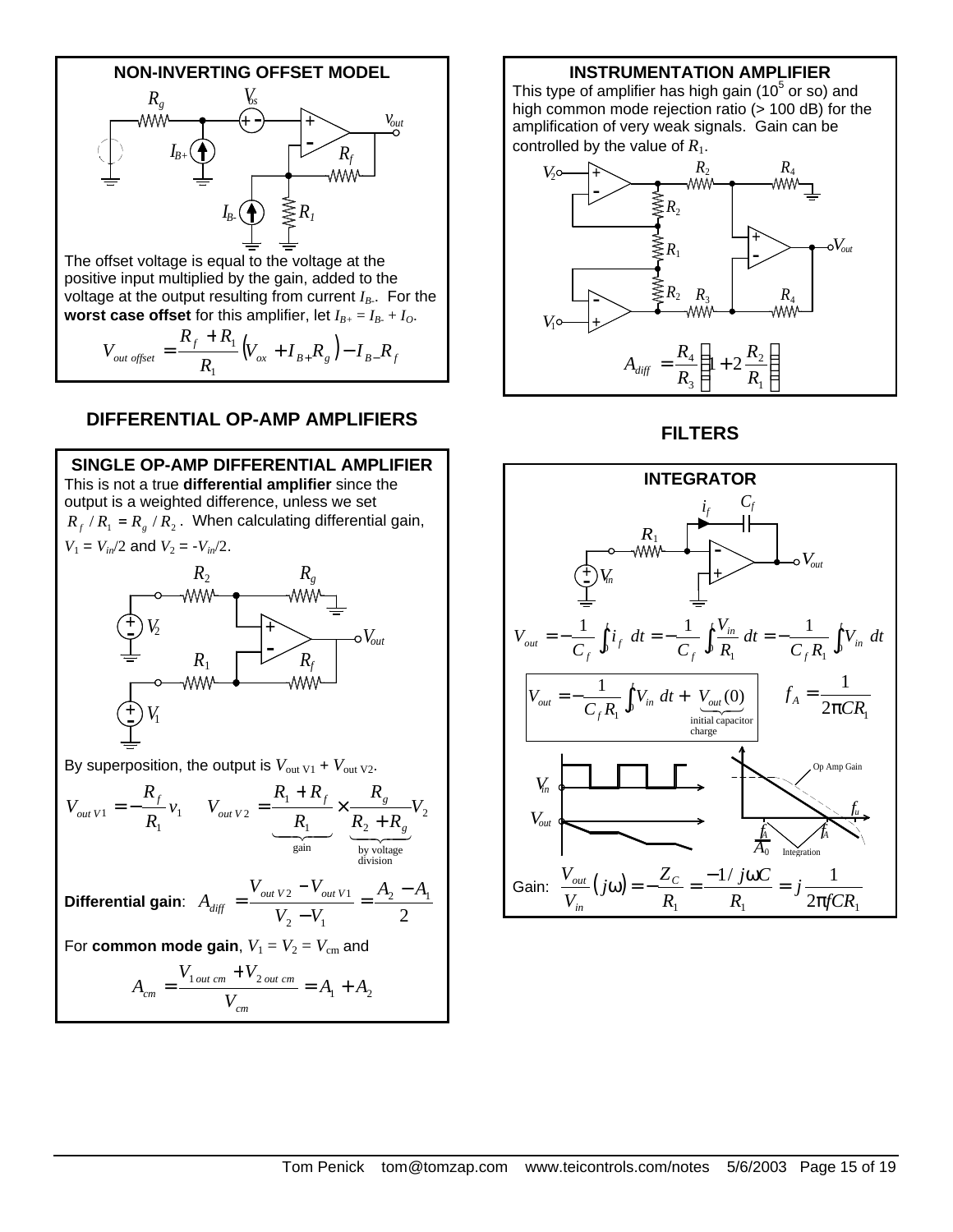

## **DIFFERENTIAL OP-AMP AMPLIFIERS**



# **INSTRUMENTATION AMPLIFIER**

This type of amplifier has high gain (10 $5$  or so) and high common mode rejection ratio (> 100 dB) for the amplification of very weak signals. Gain can be controlled by the value of  $R_1$ .



**FILTERS**

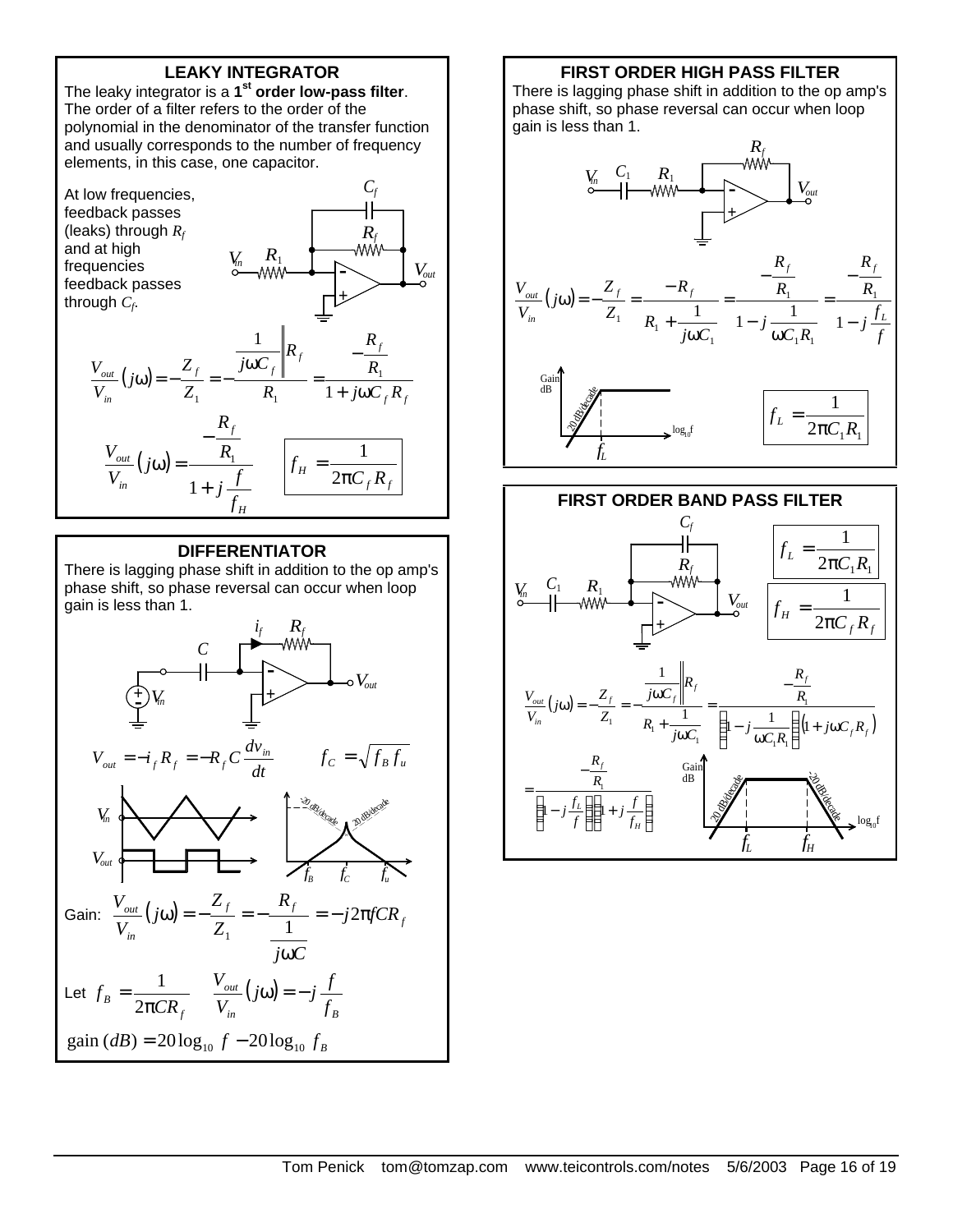# **LEAKY INTEGRATOR**

The leaky integrator is a **1 st order low-pass filter**. The order of a filter refers to the order of the polynomial in the denominator of the transfer function and usually corresponds to the number of frequency elements, in this case, one capacitor.



### **DIFFERENTIATOR**

There is lagging phase shift in addition to the op amp's phase shift, so phase reversal can occur when loop gain is less than 1.



### **FIRST ORDER HIGH PASS FILTER**

There is lagging phase shift in addition to the op amp's phase shift, so phase reversal can occur when loop gain is less than 1.



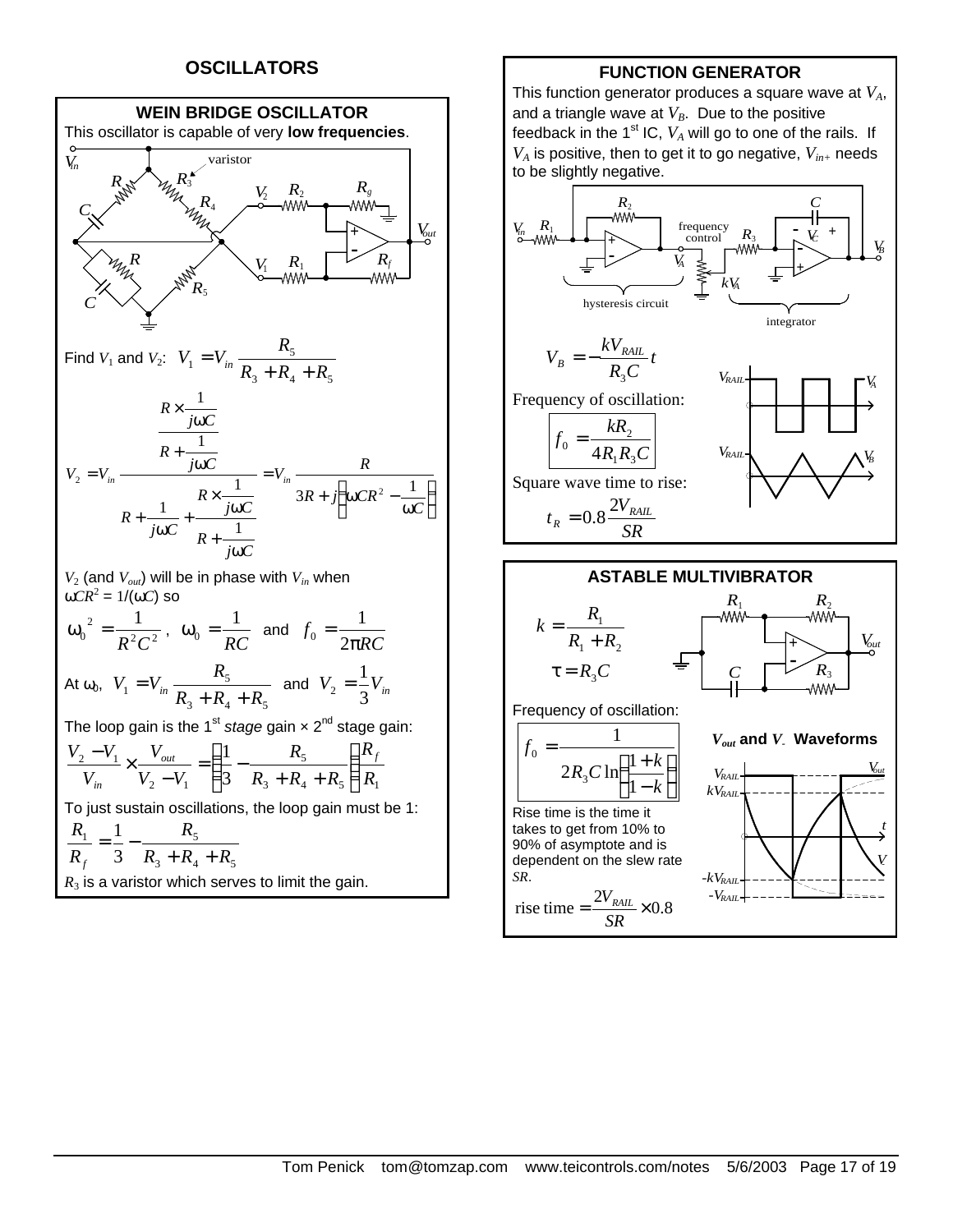# **OSCILLATORS**



## **FUNCTION GENERATOR**

This function generator produces a square wave at *VA*, and a triangle wave at  $V_B$ . Due to the positive feedback in the 1<sup>st</sup> IC,  $V_A$  will go to one of the rails. If *VA* is positive, then to get it to go negative, *Vin+* needs to be slightly negative.